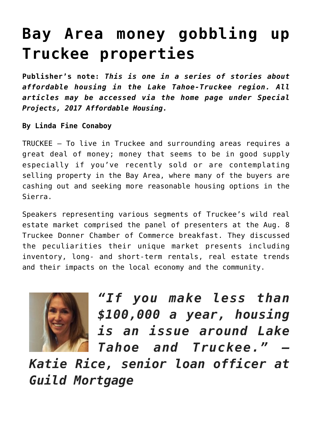## **[Bay Area money gobbling up](https://www.laketahoenews.net/2017/08/bay-area-money-gobbling-truckee-properties/) [Truckee properties](https://www.laketahoenews.net/2017/08/bay-area-money-gobbling-truckee-properties/)**

**Publisher's note:** *This is one in a series of stories about affordable housing in the Lake Tahoe-Truckee region. All articles may be accessed via the home page under Special Projects, 2017 Affordable Housing.*

## **By Linda Fine Conaboy**

TRUCKEE – To live in Truckee and surrounding areas requires a great deal of money; money that seems to be in good supply especially if you've recently sold or are contemplating selling property in the Bay Area, where many of the buyers are cashing out and seeking more reasonable housing options in the Sierra.

Speakers representing various segments of Truckee's wild real estate market comprised the panel of presenters at the Aug. 8 Truckee Donner Chamber of Commerce breakfast. They discussed the peculiarities their unique market presents including inventory, long- and short-term rentals, real estate trends and their impacts on the local economy and the community.



*"If you make less than \$100,000 a year, housing is an issue around Lake Tahoe and Truckee." —*

*Katie Rice, senior loan officer at Guild Mortgage*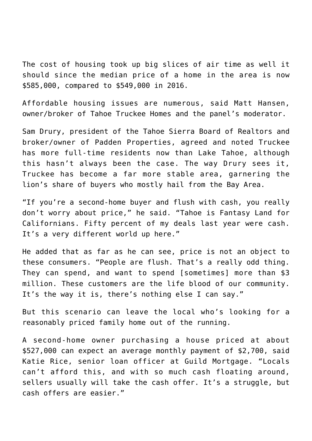The cost of housing took up big slices of air time as well it should since the median price of a home in the area is now \$585,000, compared to \$549,000 in 2016.

Affordable housing issues are numerous, said Matt Hansen, owner/broker of Tahoe Truckee Homes and the panel's moderator.

Sam Drury, president of the Tahoe Sierra Board of Realtors and broker/owner of Padden Properties, agreed and noted Truckee has more full-time residents now than Lake Tahoe, although this hasn't always been the case. The way Drury sees it, Truckee has become a far more stable area, garnering the lion's share of buyers who mostly hail from the Bay Area.

"If you're a second-home buyer and flush with cash, you really don't worry about price," he said. "Tahoe is Fantasy Land for Californians. Fifty percent of my deals last year were cash. It's a very different world up here."

He added that as far as he can see, price is not an object to these consumers. "People are flush. That's a really odd thing. They can spend, and want to spend [sometimes] more than \$3 million. These customers are the life blood of our community. It's the way it is, there's nothing else I can say."

But this scenario can leave the local who's looking for a reasonably priced family home out of the running.

A second-home owner purchasing a house priced at about \$527,000 can expect an average monthly payment of \$2,700, said Katie Rice, senior loan officer at Guild Mortgage. "Locals can't afford this, and with so much cash floating around, sellers usually will take the cash offer. It's a struggle, but cash offers are easier."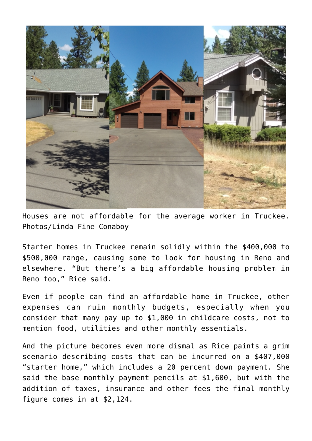

Houses are not affordable for the average worker in Truckee. Photos/Linda Fine Conaboy

Starter homes in Truckee remain solidly within the \$400,000 to \$500,000 range, causing some to look for housing in Reno and elsewhere. "But there's a big affordable housing problem in Reno too," Rice said.

Even if people can find an affordable home in Truckee, other expenses can ruin monthly budgets, especially when you consider that many pay up to \$1,000 in childcare costs, not to mention food, utilities and other monthly essentials.

And the picture becomes even more dismal as Rice paints a grim scenario describing costs that can be incurred on a \$407,000 "starter home," which includes a 20 percent down payment. She said the base monthly payment pencils at \$1,600, but with the addition of taxes, insurance and other fees the final monthly figure comes in at \$2,124.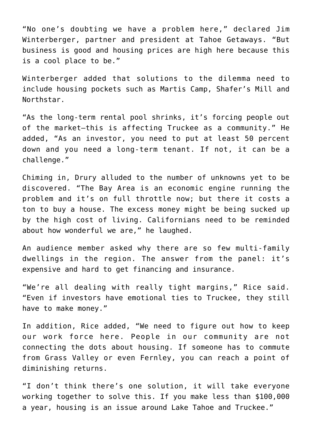"No one's doubting we have a problem here," declared Jim Winterberger, partner and president at Tahoe Getaways. "But business is good and housing prices are high here because this is a cool place to be."

Winterberger added that solutions to the dilemma need to include housing pockets such as Martis Camp, Shafer's Mill and Northstar.

"As the long-term rental pool shrinks, it's forcing people out of the market—this is affecting Truckee as a community." He added, "As an investor, you need to put at least 50 percent down and you need a long-term tenant. If not, it can be a challenge."

Chiming in, Drury alluded to the number of unknowns yet to be discovered. "The Bay Area is an economic engine running the problem and it's on full throttle now; but there it costs a ton to buy a house. The excess money might be being sucked up by the high cost of living. Californians need to be reminded about how wonderful we are," he laughed.

An audience member asked why there are so few multi-family dwellings in the region. The answer from the panel: it's expensive and hard to get financing and insurance.

"We're all dealing with really tight margins," Rice said. "Even if investors have emotional ties to Truckee, they still have to make money."

In addition, Rice added, "We need to figure out how to keep our work force here. People in our community are not connecting the dots about housing. If someone has to commute from Grass Valley or even Fernley, you can reach a point of diminishing returns.

"I don't think there's one solution, it will take everyone working together to solve this. If you make less than \$100,000 a year, housing is an issue around Lake Tahoe and Truckee."